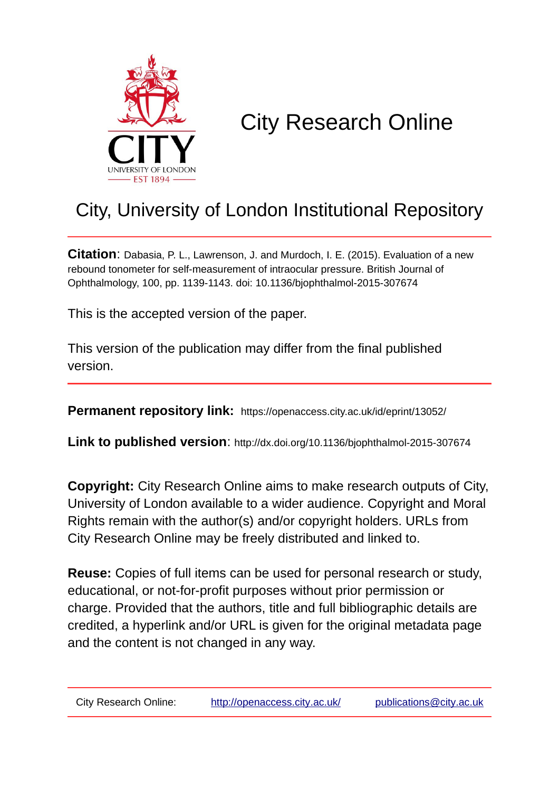

# City Research Online

## City, University of London Institutional Repository

**Citation**: Dabasia, P. L., Lawrenson, J. and Murdoch, I. E. (2015). Evaluation of a new rebound tonometer for self-measurement of intraocular pressure. British Journal of Ophthalmology, 100, pp. 1139-1143. doi: 10.1136/bjophthalmol-2015-307674

This is the accepted version of the paper.

This version of the publication may differ from the final published version.

**Permanent repository link:** https://openaccess.city.ac.uk/id/eprint/13052/

**Link to published version**: http://dx.doi.org/10.1136/bjophthalmol-2015-307674

**Copyright:** City Research Online aims to make research outputs of City, University of London available to a wider audience. Copyright and Moral Rights remain with the author(s) and/or copyright holders. URLs from City Research Online may be freely distributed and linked to.

**Reuse:** Copies of full items can be used for personal research or study, educational, or not-for-profit purposes without prior permission or charge. Provided that the authors, title and full bibliographic details are credited, a hyperlink and/or URL is given for the original metadata page and the content is not changed in any way.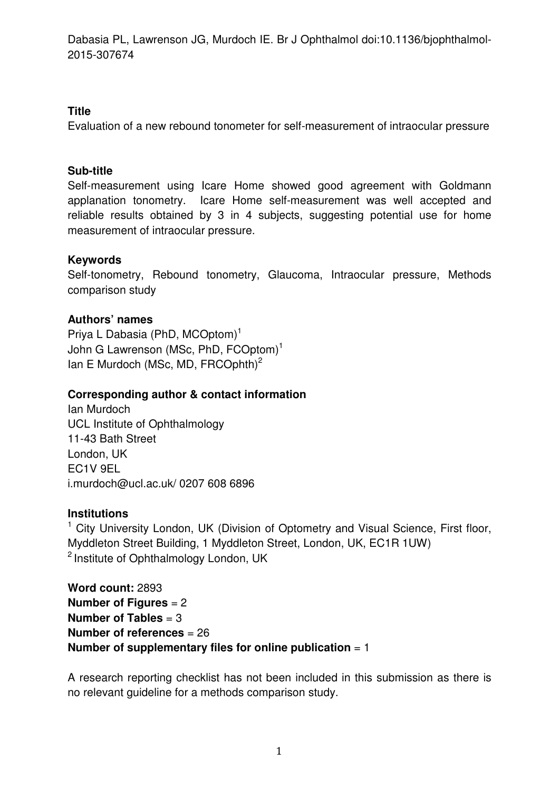## **Title**

Evaluation of a new rebound tonometer for self-measurement of intraocular pressure

## **Sub-title**

Self-measurement using Icare Home showed good agreement with Goldmann applanation tonometry. Icare Home self-measurement was well accepted and reliable results obtained by 3 in 4 subjects, suggesting potential use for home measurement of intraocular pressure.

## **Keywords**

Self-tonometry, Rebound tonometry, Glaucoma, Intraocular pressure, Methods comparison study

## **Authors' names**

Priva L Dabasia (PhD, MCOptom)<sup>1</sup> John G Lawrenson (MSc, PhD, FCOptom)<sup>1</sup> Ian E Murdoch (MSc, MD, FRCOphth)<sup>2</sup>

## **Corresponding author & contact information**

Ian Murdoch UCL Institute of Ophthalmology 11-43 Bath Street London, UK EC1V 9EL i.murdoch@ucl.ac.uk/ 0207 608 6896

#### **Institutions**

<sup>1</sup> City University London, UK (Division of Optometry and Visual Science, First floor, Myddleton Street Building, 1 Myddleton Street, London, UK, EC1R 1UW) <sup>2</sup> Institute of Ophthalmology London, UK

```
Word count: 2893 
Number of Figures = 2 
Number of Tables = 3 
Number of references = 26 
Number of supplementary files for online publication = 1
```
A research reporting checklist has not been included in this submission as there is no relevant guideline for a methods comparison study.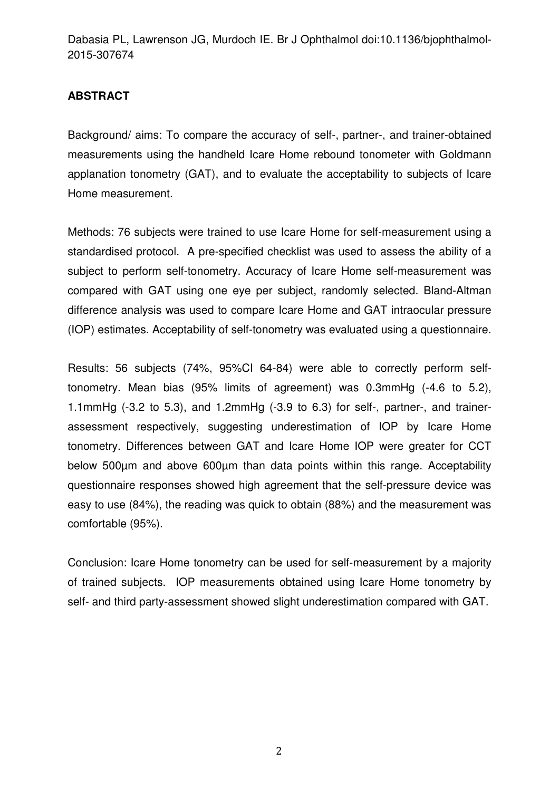## **ABSTRACT**

Background/ aims: To compare the accuracy of self-, partner-, and trainer-obtained measurements using the handheld Icare Home rebound tonometer with Goldmann applanation tonometry (GAT), and to evaluate the acceptability to subjects of Icare Home measurement.

Methods: 76 subjects were trained to use Icare Home for self-measurement using a standardised protocol. A pre-specified checklist was used to assess the ability of a subject to perform self-tonometry. Accuracy of Icare Home self-measurement was compared with GAT using one eye per subject, randomly selected. Bland-Altman difference analysis was used to compare Icare Home and GAT intraocular pressure (IOP) estimates. Acceptability of self-tonometry was evaluated using a questionnaire.

Results: 56 subjects (74%, 95%CI 64-84) were able to correctly perform selftonometry. Mean bias (95% limits of agreement) was 0.3mmHg (-4.6 to 5.2), 1.1mmHg (-3.2 to 5.3), and 1.2mmHg (-3.9 to 6.3) for self-, partner-, and trainerassessment respectively, suggesting underestimation of IOP by Icare Home tonometry. Differences between GAT and Icare Home IOP were greater for CCT below 500µm and above 600µm than data points within this range. Acceptability questionnaire responses showed high agreement that the self-pressure device was easy to use (84%), the reading was quick to obtain (88%) and the measurement was comfortable (95%).

Conclusion: Icare Home tonometry can be used for self-measurement by a majority of trained subjects. IOP measurements obtained using Icare Home tonometry by self- and third party-assessment showed slight underestimation compared with GAT.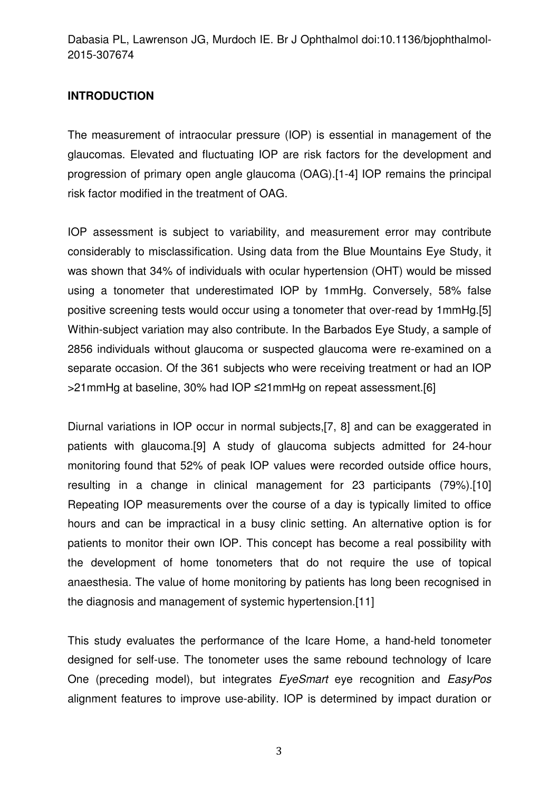## **INTRODUCTION**

The measurement of intraocular pressure (IOP) is essential in management of the glaucomas. Elevated and fluctuating IOP are risk factors for the development and progression of primary open angle glaucoma (OAG).[1-4] IOP remains the principal risk factor modified in the treatment of OAG.

IOP assessment is subject to variability, and measurement error may contribute considerably to misclassification. Using data from the Blue Mountains Eye Study, it was shown that 34% of individuals with ocular hypertension (OHT) would be missed using a tonometer that underestimated IOP by 1mmHg. Conversely, 58% false positive screening tests would occur using a tonometer that over-read by 1mmHg.[5] Within-subject variation may also contribute. In the Barbados Eye Study, a sample of 2856 individuals without glaucoma or suspected glaucoma were re-examined on a separate occasion. Of the 361 subjects who were receiving treatment or had an IOP >21mmHg at baseline, 30% had IOP ≤21mmHg on repeat assessment.[6]

Diurnal variations in IOP occur in normal subjects,[7, 8] and can be exaggerated in patients with glaucoma.[9] A study of glaucoma subjects admitted for 24-hour monitoring found that 52% of peak IOP values were recorded outside office hours, resulting in a change in clinical management for 23 participants (79%).[10] Repeating IOP measurements over the course of a day is typically limited to office hours and can be impractical in a busy clinic setting. An alternative option is for patients to monitor their own IOP. This concept has become a real possibility with the development of home tonometers that do not require the use of topical anaesthesia. The value of home monitoring by patients has long been recognised in the diagnosis and management of systemic hypertension.[11]

This study evaluates the performance of the Icare Home, a hand-held tonometer designed for self-use. The tonometer uses the same rebound technology of Icare One (preceding model), but integrates EyeSmart eye recognition and EasyPos alignment features to improve use-ability. IOP is determined by impact duration or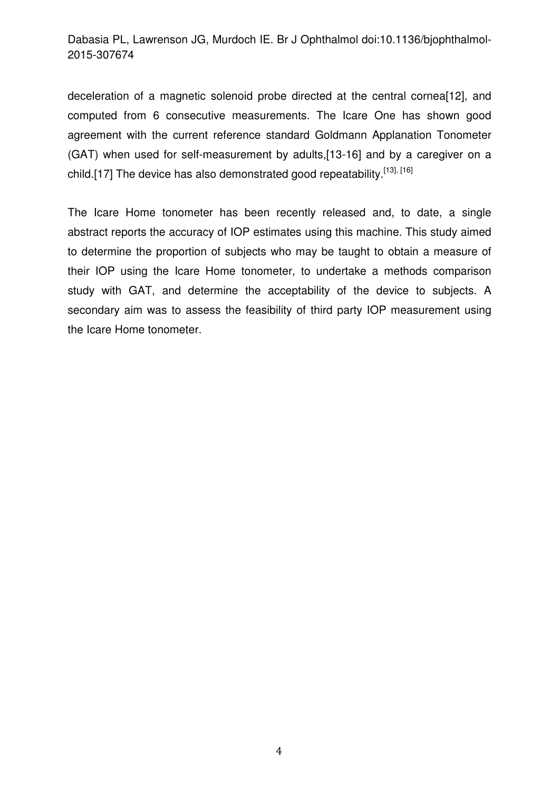deceleration of a magnetic solenoid probe directed at the central cornea[12], and computed from 6 consecutive measurements. The Icare One has shown good agreement with the current reference standard Goldmann Applanation Tonometer (GAT) when used for self-measurement by adults,[13-16] and by a caregiver on a child.[17] The device has also demonstrated good repeatability.<sup>[13], [16]</sup>

The Icare Home tonometer has been recently released and, to date, a single abstract reports the accuracy of IOP estimates using this machine. This study aimed to determine the proportion of subjects who may be taught to obtain a measure of their IOP using the Icare Home tonometer, to undertake a methods comparison study with GAT, and determine the acceptability of the device to subjects. A secondary aim was to assess the feasibility of third party IOP measurement using the Icare Home tonometer.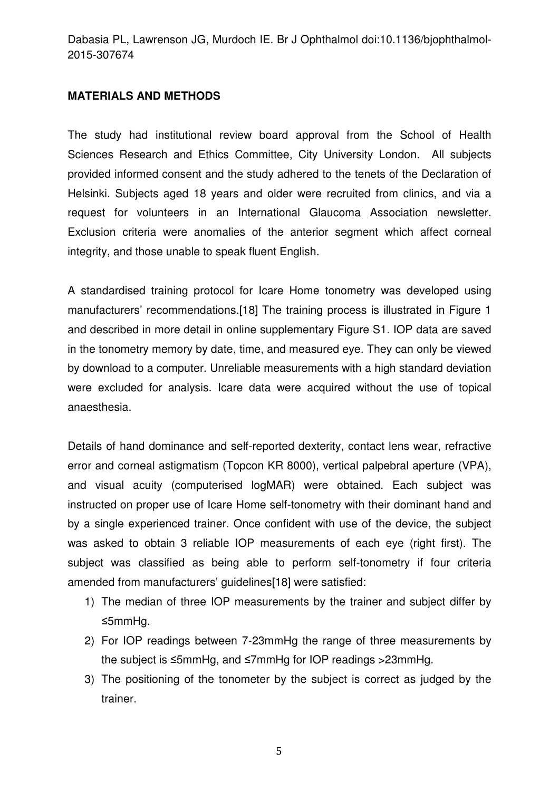#### **MATERIALS AND METHODS**

The study had institutional review board approval from the School of Health Sciences Research and Ethics Committee, City University London. All subjects provided informed consent and the study adhered to the tenets of the Declaration of Helsinki. Subjects aged 18 years and older were recruited from clinics, and via a request for volunteers in an International Glaucoma Association newsletter. Exclusion criteria were anomalies of the anterior segment which affect corneal integrity, and those unable to speak fluent English.

A standardised training protocol for Icare Home tonometry was developed using manufacturers' recommendations.[18] The training process is illustrated in Figure 1 and described in more detail in online supplementary Figure S1. IOP data are saved in the tonometry memory by date, time, and measured eye. They can only be viewed by download to a computer. Unreliable measurements with a high standard deviation were excluded for analysis. Icare data were acquired without the use of topical anaesthesia.

Details of hand dominance and self-reported dexterity, contact lens wear, refractive error and corneal astigmatism (Topcon KR 8000), vertical palpebral aperture (VPA), and visual acuity (computerised logMAR) were obtained. Each subject was instructed on proper use of Icare Home self-tonometry with their dominant hand and by a single experienced trainer. Once confident with use of the device, the subject was asked to obtain 3 reliable IOP measurements of each eye (right first). The subject was classified as being able to perform self-tonometry if four criteria amended from manufacturers' guidelines[18] were satisfied:

- 1) The median of three IOP measurements by the trainer and subject differ by ≤5mmHg.
- 2) For IOP readings between 7-23mmHg the range of three measurements by the subject is ≤5mmHg, and ≤7mmHg for IOP readings >23mmHg.
- 3) The positioning of the tonometer by the subject is correct as judged by the trainer.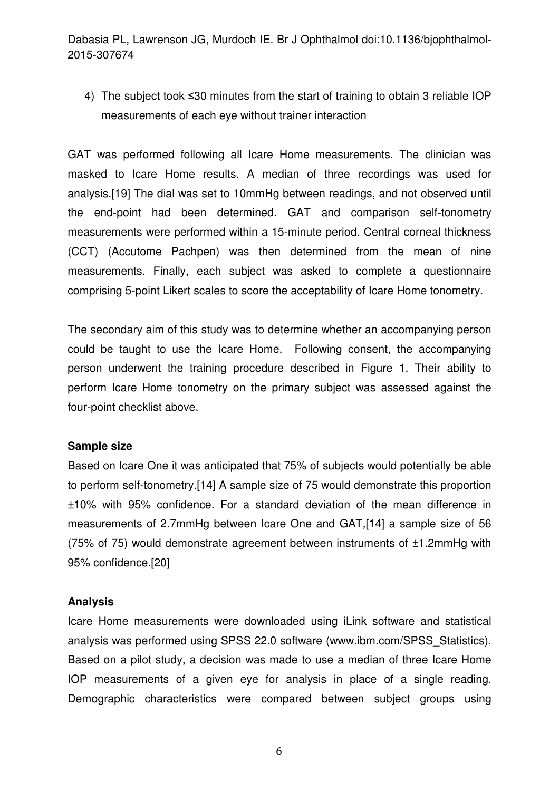4) The subject took ≤30 minutes from the start of training to obtain 3 reliable IOP measurements of each eye without trainer interaction

GAT was performed following all Icare Home measurements. The clinician was masked to Icare Home results. A median of three recordings was used for analysis.[19] The dial was set to 10mmHg between readings, and not observed until the end-point had been determined. GAT and comparison self-tonometry measurements were performed within a 15-minute period. Central corneal thickness (CCT) (Accutome Pachpen) was then determined from the mean of nine measurements. Finally, each subject was asked to complete a questionnaire comprising 5-point Likert scales to score the acceptability of Icare Home tonometry.

The secondary aim of this study was to determine whether an accompanying person could be taught to use the Icare Home. Following consent, the accompanying person underwent the training procedure described in Figure 1. Their ability to perform Icare Home tonometry on the primary subject was assessed against the four-point checklist above.

#### **Sample size**

Based on Icare One it was anticipated that 75% of subjects would potentially be able to perform self-tonometry.[14] A sample size of 75 would demonstrate this proportion ±10% with 95% confidence. For a standard deviation of the mean difference in measurements of 2.7mmHg between Icare One and GAT,[14] a sample size of 56 (75% of 75) would demonstrate agreement between instruments of ±1.2mmHg with 95% confidence.[20]

#### **Analysis**

Icare Home measurements were downloaded using iLink software and statistical analysis was performed using SPSS 22.0 software (www.ibm.com/SPSS\_Statistics). Based on a pilot study, a decision was made to use a median of three Icare Home IOP measurements of a given eye for analysis in place of a single reading. Demographic characteristics were compared between subject groups using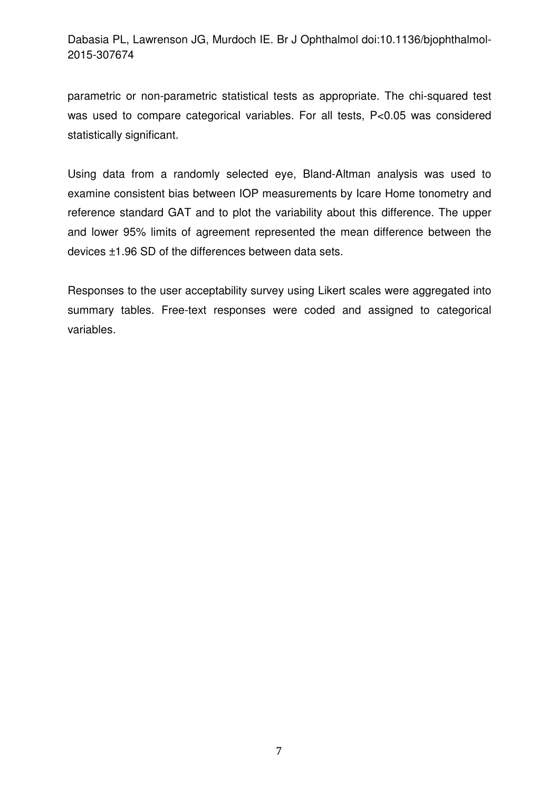parametric or non-parametric statistical tests as appropriate. The chi-squared test was used to compare categorical variables. For all tests, P<0.05 was considered statistically significant.

Using data from a randomly selected eye, Bland-Altman analysis was used to examine consistent bias between IOP measurements by Icare Home tonometry and reference standard GAT and to plot the variability about this difference. The upper and lower 95% limits of agreement represented the mean difference between the devices ±1.96 SD of the differences between data sets.

Responses to the user acceptability survey using Likert scales were aggregated into summary tables. Free-text responses were coded and assigned to categorical variables.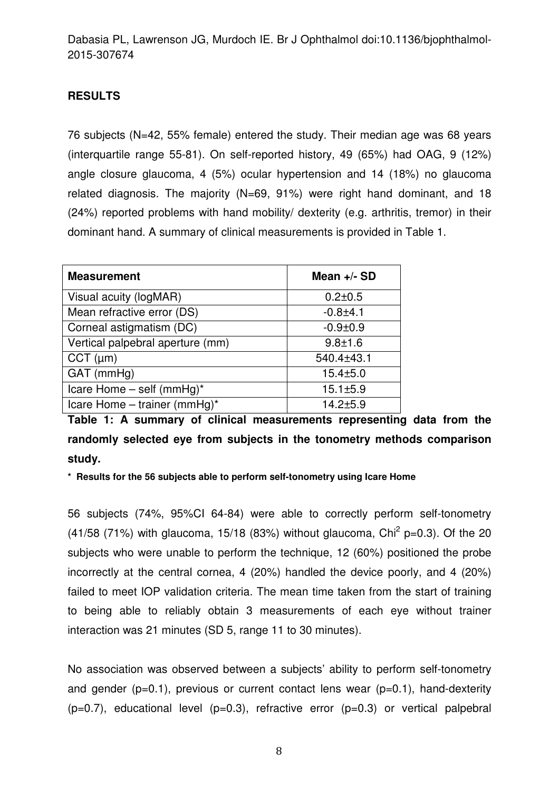## **RESULTS**

76 subjects (N=42, 55% female) entered the study. Their median age was 68 years (interquartile range 55-81). On self-reported history, 49 (65%) had OAG, 9 (12%) angle closure glaucoma, 4 (5%) ocular hypertension and 14 (18%) no glaucoma related diagnosis. The majority (N=69, 91%) were right hand dominant, and 18 (24%) reported problems with hand mobility/ dexterity (e.g. arthritis, tremor) in their dominant hand. A summary of clinical measurements is provided in Table 1.

| <b>Measurement</b>               | Mean $+/-$ SD  |
|----------------------------------|----------------|
| Visual acuity (logMAR)           | $0.2 \pm 0.5$  |
| Mean refractive error (DS)       | $-0.8 + 4.1$   |
| Corneal astigmatism (DC)         | $-0.9 + 0.9$   |
| Vertical palpebral aperture (mm) | $9.8 \pm 1.6$  |
| $CCT$ ( $\mu$ m)                 | 540.4±43.1     |
| GAT (mmHg)                       | $15.4 \pm 5.0$ |
| Icare Home $-$ self (mmHg)*      | $15.1 \pm 5.9$ |
| Icare Home – trainer (mmHg)*     | $14.2 + 5.9$   |

**Table 1: A summary of clinical measurements representing data from the randomly selected eye from subjects in the tonometry methods comparison study.** 

**\* Results for the 56 subjects able to perform self-tonometry using Icare Home** 

56 subjects (74%, 95%CI 64-84) were able to correctly perform self-tonometry (41/58 (71%) with glaucoma, 15/18 (83%) without glaucoma, Chi<sup>2</sup> p=0.3). Of the 20 subjects who were unable to perform the technique, 12 (60%) positioned the probe incorrectly at the central cornea, 4 (20%) handled the device poorly, and 4 (20%) failed to meet IOP validation criteria. The mean time taken from the start of training to being able to reliably obtain 3 measurements of each eye without trainer interaction was 21 minutes (SD 5, range 11 to 30 minutes).

No association was observed between a subjects' ability to perform self-tonometry and gender  $(p=0.1)$ , previous or current contact lens wear  $(p=0.1)$ , hand-dexterity  $(p=0.7)$ , educational level  $(p=0.3)$ , refractive error  $(p=0.3)$  or vertical palpebral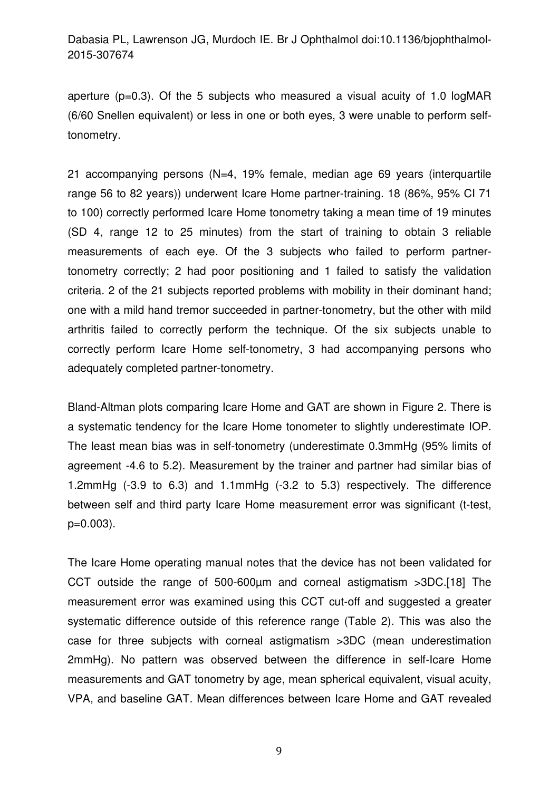aperture ( $p=0.3$ ). Of the 5 subjects who measured a visual acuity of 1.0 logMAR (6/60 Snellen equivalent) or less in one or both eyes, 3 were unable to perform selftonometry.

21 accompanying persons (N=4, 19% female, median age 69 years (interquartile range 56 to 82 years)) underwent Icare Home partner-training. 18 (86%, 95% CI 71 to 100) correctly performed Icare Home tonometry taking a mean time of 19 minutes (SD 4, range 12 to 25 minutes) from the start of training to obtain 3 reliable measurements of each eye. Of the 3 subjects who failed to perform partnertonometry correctly; 2 had poor positioning and 1 failed to satisfy the validation criteria. 2 of the 21 subjects reported problems with mobility in their dominant hand; one with a mild hand tremor succeeded in partner-tonometry, but the other with mild arthritis failed to correctly perform the technique. Of the six subjects unable to correctly perform Icare Home self-tonometry, 3 had accompanying persons who adequately completed partner-tonometry.

Bland-Altman plots comparing Icare Home and GAT are shown in Figure 2. There is a systematic tendency for the Icare Home tonometer to slightly underestimate IOP. The least mean bias was in self-tonometry (underestimate 0.3mmHg (95% limits of agreement -4.6 to 5.2). Measurement by the trainer and partner had similar bias of 1.2mmHg (-3.9 to 6.3) and 1.1mmHg (-3.2 to 5.3) respectively. The difference between self and third party Icare Home measurement error was significant (t-test, p=0.003).

The Icare Home operating manual notes that the device has not been validated for CCT outside the range of 500-600µm and corneal astigmatism >3DC.[18] The measurement error was examined using this CCT cut-off and suggested a greater systematic difference outside of this reference range (Table 2). This was also the case for three subjects with corneal astigmatism >3DC (mean underestimation 2mmHg). No pattern was observed between the difference in self-Icare Home measurements and GAT tonometry by age, mean spherical equivalent, visual acuity, VPA, and baseline GAT. Mean differences between Icare Home and GAT revealed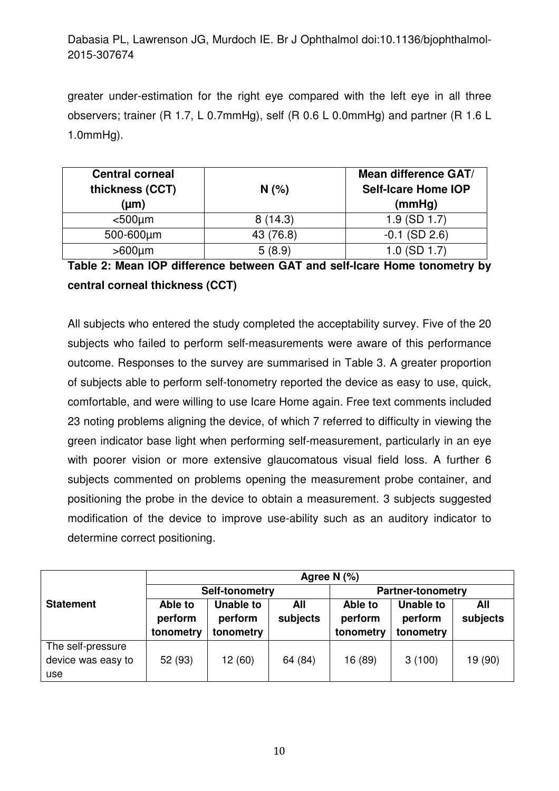greater under-estimation for the right eye compared with the left eye in all three observers; trainer (R 1.7, L 0.7mmHg), self (R 0.6 L 0.0mmHg) and partner (R 1.6 L 1.0mmHg).

| <b>Central corneal</b><br>thickness (CCT)<br>$(\mu m)$ | N(% )     | <b>Mean difference GAT/</b><br><b>Self-Icare Home IOP</b><br>(mmHg) |
|--------------------------------------------------------|-----------|---------------------------------------------------------------------|
| $500µm$                                                | 8(14.3)   | $1.9$ (SD $1.7$ )                                                   |
| 500-600µm                                              | 43 (76.8) | $-0.1$ (SD 2.6)                                                     |
| $>600 \mu m$                                           | 5(8.9)    | $1.0$ (SD $1.7$ )                                                   |

**Table 2: Mean IOP difference between GAT and self-Icare Home tonometry by central corneal thickness (CCT)** 

All subjects who entered the study completed the acceptability survey. Five of the 20 subjects who failed to perform self-measurements were aware of this performance outcome. Responses to the survey are summarised in Table 3. A greater proportion of subjects able to perform self-tonometry reported the device as easy to use, quick, comfortable, and were willing to use Icare Home again. Free text comments included 23 noting problems aligning the device, of which 7 referred to difficulty in viewing the green indicator base light when performing self-measurement, particularly in an eye with poorer vision or more extensive glaucomatous visual field loss. A further 6 subjects commented on problems opening the measurement probe container, and positioning the probe in the device to obtain a measurement. 3 subjects suggested modification of the device to improve use-ability such as an auditory indicator to determine correct positioning.

|                                                | Agree N $(%)$                   |                                          |                          |                                 |                                          |                 |
|------------------------------------------------|---------------------------------|------------------------------------------|--------------------------|---------------------------------|------------------------------------------|-----------------|
|                                                | Self-tonometry                  |                                          | <b>Partner-tonometry</b> |                                 |                                          |                 |
| <b>Statement</b>                               | Able to<br>perform<br>tonometry | <b>Unable to</b><br>perform<br>tonometry | All<br>subjects          | Able to<br>perform<br>tonometry | <b>Unable to</b><br>perform<br>tonometry | All<br>subjects |
| The self-pressure<br>device was easy to<br>use | 52 (93)                         | 12 (60)                                  | 64 (84)                  | 16 (89)                         | 3(100)                                   | 19 (90)         |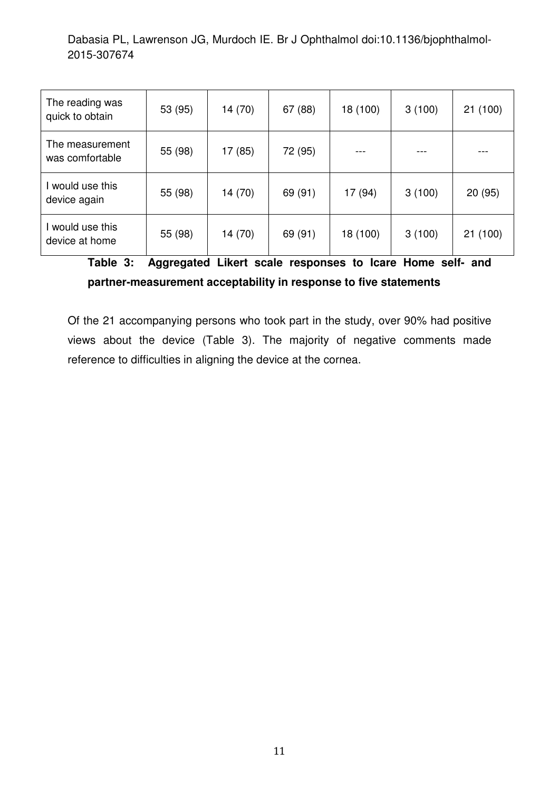| The reading was<br>quick to obtain | 53 (95) | 14 (70) | 67 (88) | 18 (100) | 3(100) | 21 (100) |
|------------------------------------|---------|---------|---------|----------|--------|----------|
| The measurement<br>was comfortable | 55 (98) | 17 (85) | 72 (95) |          |        |          |
| would use this<br>device again     | 55 (98) | 14 (70) | 69 (91) | 17 (94)  | 3(100) | 20(95)   |
| l would use this<br>device at home | 55 (98) | 14 (70) | 69 (91) | 18 (100) | 3(100) | 21 (100) |

**Table 3: Aggregated Likert scale responses to Icare Home self- and partner-measurement acceptability in response to five statements** 

Of the 21 accompanying persons who took part in the study, over 90% had positive views about the device (Table 3). The majority of negative comments made reference to difficulties in aligning the device at the cornea.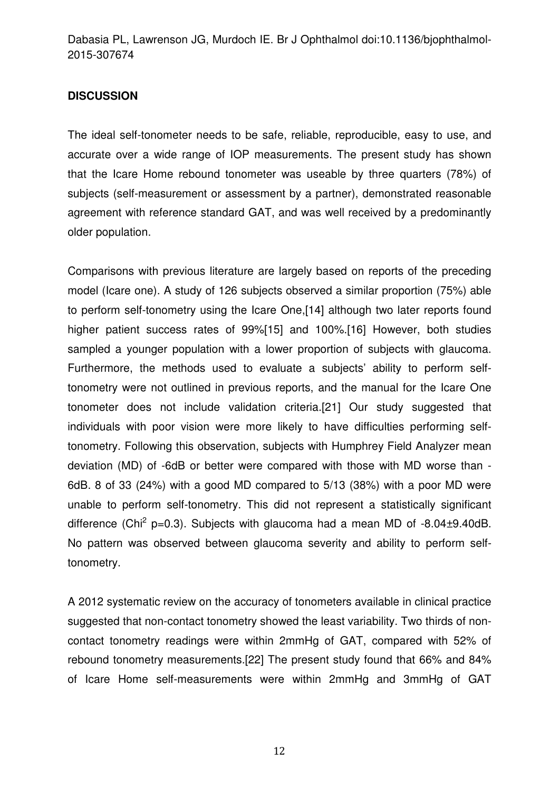#### **DISCUSSION**

The ideal self-tonometer needs to be safe, reliable, reproducible, easy to use, and accurate over a wide range of IOP measurements. The present study has shown that the Icare Home rebound tonometer was useable by three quarters (78%) of subjects (self-measurement or assessment by a partner), demonstrated reasonable agreement with reference standard GAT, and was well received by a predominantly older population.

Comparisons with previous literature are largely based on reports of the preceding model (Icare one). A study of 126 subjects observed a similar proportion (75%) able to perform self-tonometry using the Icare One,[14] although two later reports found higher patient success rates of 99%[15] and 100%.[16] However, both studies sampled a younger population with a lower proportion of subjects with glaucoma. Furthermore, the methods used to evaluate a subjects' ability to perform selftonometry were not outlined in previous reports, and the manual for the Icare One tonometer does not include validation criteria.[21] Our study suggested that individuals with poor vision were more likely to have difficulties performing selftonometry. Following this observation, subjects with Humphrey Field Analyzer mean deviation (MD) of -6dB or better were compared with those with MD worse than - 6dB. 8 of 33 (24%) with a good MD compared to 5/13 (38%) with a poor MD were unable to perform self-tonometry. This did not represent a statistically significant difference (Chi<sup>2</sup> p=0.3). Subjects with glaucoma had a mean MD of  $-8.04\pm9.40$ dB. No pattern was observed between glaucoma severity and ability to perform selftonometry.

A 2012 systematic review on the accuracy of tonometers available in clinical practice suggested that non-contact tonometry showed the least variability. Two thirds of noncontact tonometry readings were within 2mmHg of GAT, compared with 52% of rebound tonometry measurements.[22] The present study found that 66% and 84% of Icare Home self-measurements were within 2mmHg and 3mmHg of GAT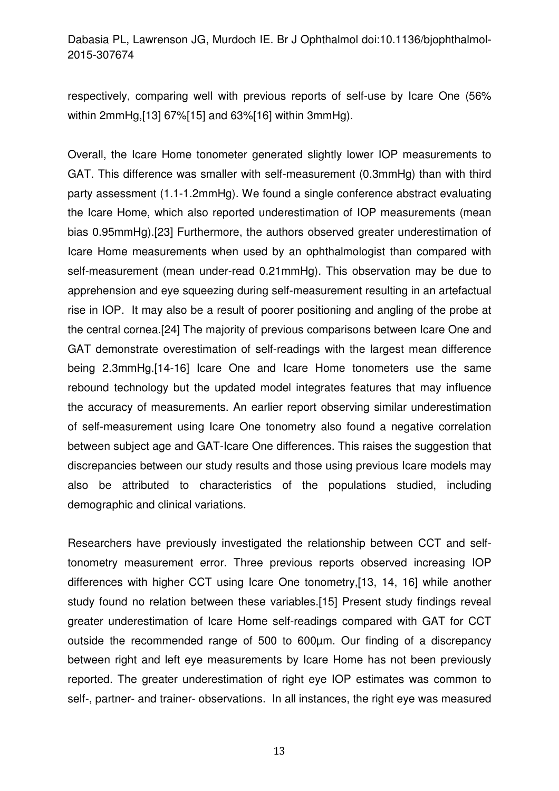respectively, comparing well with previous reports of self-use by Icare One (56% within 2mmHg,[13] 67%[15] and 63%[16] within 3mmHg).

Overall, the Icare Home tonometer generated slightly lower IOP measurements to GAT. This difference was smaller with self-measurement (0.3mmHg) than with third party assessment (1.1-1.2mmHg). We found a single conference abstract evaluating the Icare Home, which also reported underestimation of IOP measurements (mean bias 0.95mmHg).[23] Furthermore, the authors observed greater underestimation of Icare Home measurements when used by an ophthalmologist than compared with self-measurement (mean under-read 0.21mmHg). This observation may be due to apprehension and eye squeezing during self-measurement resulting in an artefactual rise in IOP. It may also be a result of poorer positioning and angling of the probe at the central cornea.[24] The majority of previous comparisons between Icare One and GAT demonstrate overestimation of self-readings with the largest mean difference being 2.3mmHg.[14-16] Icare One and Icare Home tonometers use the same rebound technology but the updated model integrates features that may influence the accuracy of measurements. An earlier report observing similar underestimation of self-measurement using Icare One tonometry also found a negative correlation between subject age and GAT-Icare One differences. This raises the suggestion that discrepancies between our study results and those using previous Icare models may also be attributed to characteristics of the populations studied, including demographic and clinical variations.

Researchers have previously investigated the relationship between CCT and selftonometry measurement error. Three previous reports observed increasing IOP differences with higher CCT using Icare One tonometry,[13, 14, 16] while another study found no relation between these variables.[15] Present study findings reveal greater underestimation of Icare Home self-readings compared with GAT for CCT outside the recommended range of 500 to 600µm. Our finding of a discrepancy between right and left eye measurements by Icare Home has not been previously reported. The greater underestimation of right eye IOP estimates was common to self-, partner- and trainer- observations. In all instances, the right eye was measured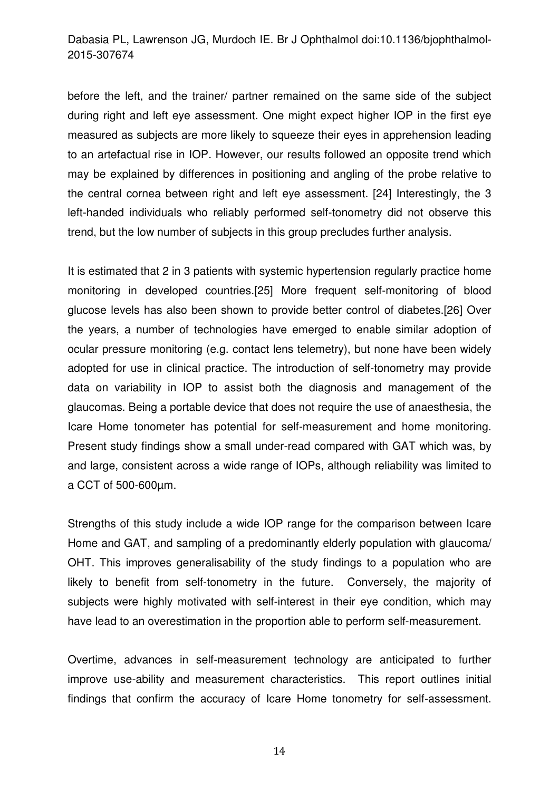before the left, and the trainer/ partner remained on the same side of the subject during right and left eye assessment. One might expect higher IOP in the first eye measured as subjects are more likely to squeeze their eyes in apprehension leading to an artefactual rise in IOP. However, our results followed an opposite trend which may be explained by differences in positioning and angling of the probe relative to the central cornea between right and left eye assessment. [24] Interestingly, the 3 left-handed individuals who reliably performed self-tonometry did not observe this trend, but the low number of subjects in this group precludes further analysis.

It is estimated that 2 in 3 patients with systemic hypertension regularly practice home monitoring in developed countries.[25] More frequent self-monitoring of blood glucose levels has also been shown to provide better control of diabetes.[26] Over the years, a number of technologies have emerged to enable similar adoption of ocular pressure monitoring (e.g. contact lens telemetry), but none have been widely adopted for use in clinical practice. The introduction of self-tonometry may provide data on variability in IOP to assist both the diagnosis and management of the glaucomas. Being a portable device that does not require the use of anaesthesia, the Icare Home tonometer has potential for self-measurement and home monitoring. Present study findings show a small under-read compared with GAT which was, by and large, consistent across a wide range of IOPs, although reliability was limited to a CCT of 500-600µm.

Strengths of this study include a wide IOP range for the comparison between Icare Home and GAT, and sampling of a predominantly elderly population with glaucoma/ OHT. This improves generalisability of the study findings to a population who are likely to benefit from self-tonometry in the future. Conversely, the majority of subjects were highly motivated with self-interest in their eye condition, which may have lead to an overestimation in the proportion able to perform self-measurement.

Overtime, advances in self-measurement technology are anticipated to further improve use-ability and measurement characteristics. This report outlines initial findings that confirm the accuracy of Icare Home tonometry for self-assessment.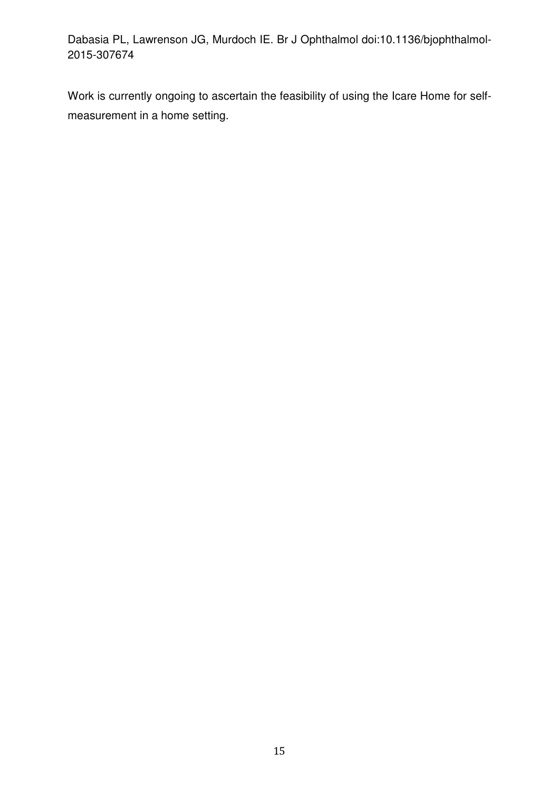Work is currently ongoing to ascertain the feasibility of using the Icare Home for selfmeasurement in a home setting.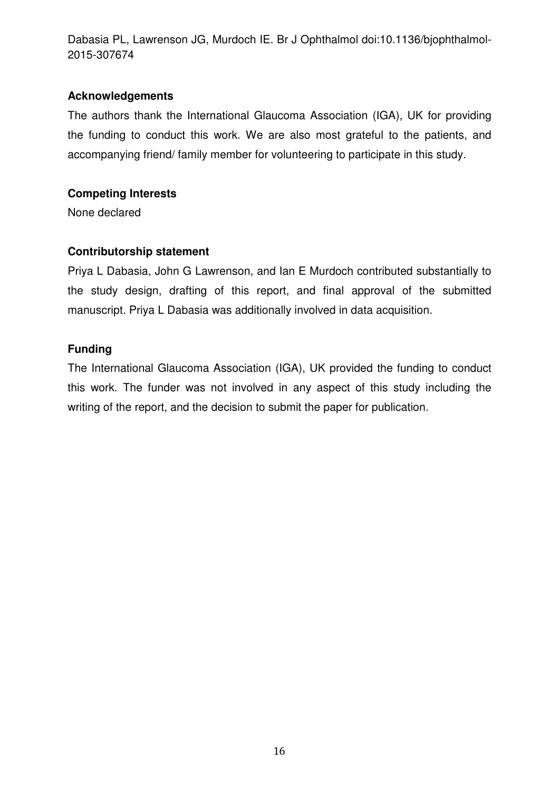#### **Acknowledgements**

The authors thank the International Glaucoma Association (IGA), UK for providing the funding to conduct this work. We are also most grateful to the patients, and accompanying friend/ family member for volunteering to participate in this study.

## **Competing Interests**

None declared

## **Contributorship statement**

Priya L Dabasia, John G Lawrenson, and Ian E Murdoch contributed substantially to the study design, drafting of this report, and final approval of the submitted manuscript. Priya L Dabasia was additionally involved in data acquisition.

## **Funding**

The International Glaucoma Association (IGA), UK provided the funding to conduct this work. The funder was not involved in any aspect of this study including the writing of the report, and the decision to submit the paper for publication.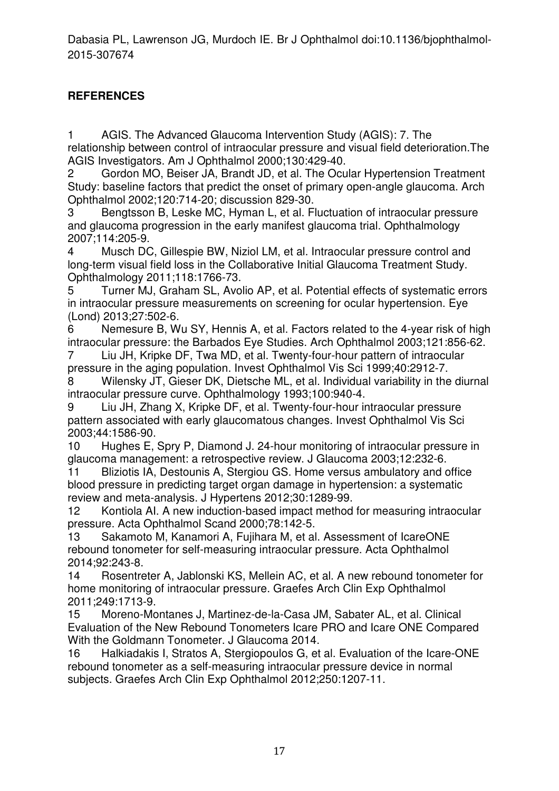## **REFERENCES**

1 AGIS. The Advanced Glaucoma Intervention Study (AGIS): 7. The relationship between control of intraocular pressure and visual field deterioration.The AGIS Investigators. Am J Ophthalmol 2000;130:429-40.

2 Gordon MO, Beiser JA, Brandt JD, et al. The Ocular Hypertension Treatment Study: baseline factors that predict the onset of primary open-angle glaucoma. Arch Ophthalmol 2002;120:714-20; discussion 829-30.

3 Bengtsson B, Leske MC, Hyman L, et al. Fluctuation of intraocular pressure and glaucoma progression in the early manifest glaucoma trial. Ophthalmology 2007;114:205-9.

4 Musch DC, Gillespie BW, Niziol LM, et al. Intraocular pressure control and long-term visual field loss in the Collaborative Initial Glaucoma Treatment Study. Ophthalmology 2011;118:1766-73.

5 Turner MJ, Graham SL, Avolio AP, et al. Potential effects of systematic errors in intraocular pressure measurements on screening for ocular hypertension. Eye (Lond) 2013;27:502-6.

6 Nemesure B, Wu SY, Hennis A, et al. Factors related to the 4-year risk of high intraocular pressure: the Barbados Eye Studies. Arch Ophthalmol 2003;121:856-62.

7 Liu JH, Kripke DF, Twa MD, et al. Twenty-four-hour pattern of intraocular pressure in the aging population. Invest Ophthalmol Vis Sci 1999;40:2912-7.

8 Wilensky JT, Gieser DK, Dietsche ML, et al. Individual variability in the diurnal intraocular pressure curve. Ophthalmology 1993;100:940-4.

9 Liu JH, Zhang X, Kripke DF, et al. Twenty-four-hour intraocular pressure pattern associated with early glaucomatous changes. Invest Ophthalmol Vis Sci 2003;44:1586-90.

10 Hughes E, Spry P, Diamond J. 24-hour monitoring of intraocular pressure in glaucoma management: a retrospective review. J Glaucoma 2003;12:232-6.

11 Bliziotis IA, Destounis A, Stergiou GS. Home versus ambulatory and office blood pressure in predicting target organ damage in hypertension: a systematic review and meta-analysis. J Hypertens 2012;30:1289-99.

12 Kontiola AI. A new induction-based impact method for measuring intraocular pressure. Acta Ophthalmol Scand 2000;78:142-5.

13 Sakamoto M, Kanamori A, Fujihara M, et al. Assessment of IcareONE rebound tonometer for self-measuring intraocular pressure. Acta Ophthalmol 2014;92:243-8.

14 Rosentreter A, Jablonski KS, Mellein AC, et al. A new rebound tonometer for home monitoring of intraocular pressure. Graefes Arch Clin Exp Ophthalmol 2011;249:1713-9.

15 Moreno-Montanes J, Martinez-de-la-Casa JM, Sabater AL, et al. Clinical Evaluation of the New Rebound Tonometers Icare PRO and Icare ONE Compared With the Goldmann Tonometer. J Glaucoma 2014.

16 Halkiadakis I, Stratos A, Stergiopoulos G, et al. Evaluation of the Icare-ONE rebound tonometer as a self-measuring intraocular pressure device in normal subjects. Graefes Arch Clin Exp Ophthalmol 2012;250:1207-11.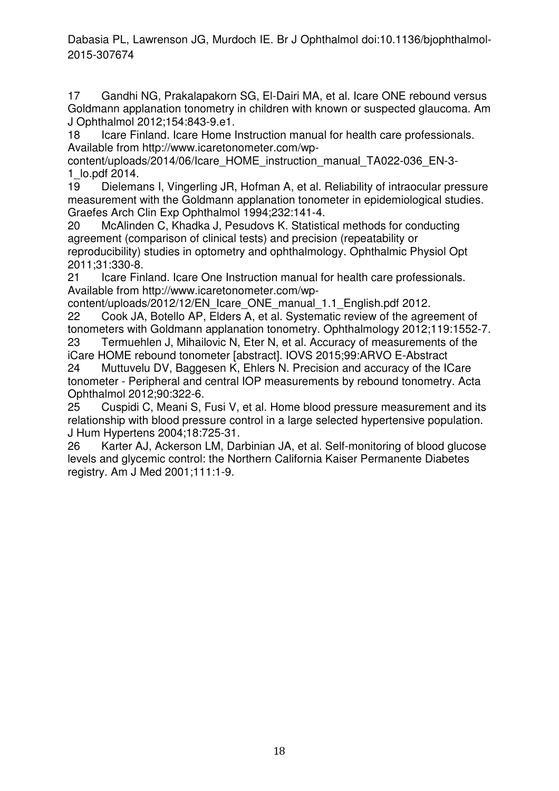17 Gandhi NG, Prakalapakorn SG, El-Dairi MA, et al. Icare ONE rebound versus Goldmann applanation tonometry in children with known or suspected glaucoma. Am J Ophthalmol 2012;154:843-9.e1.

18 Icare Finland. Icare Home Instruction manual for health care professionals. Available from http://www.icaretonometer.com/wp-

content/uploads/2014/06/Icare\_HOME\_instruction\_manual\_TA022-036\_EN-3- 1\_lo.pdf 2014.

19 Dielemans I, Vingerling JR, Hofman A, et al. Reliability of intraocular pressure measurement with the Goldmann applanation tonometer in epidemiological studies. Graefes Arch Clin Exp Ophthalmol 1994;232:141-4.

20 McAlinden C, Khadka J, Pesudovs K. Statistical methods for conducting agreement (comparison of clinical tests) and precision (repeatability or reproducibility) studies in optometry and ophthalmology. Ophthalmic Physiol Opt 2011;31:330-8.

21 Icare Finland. Icare One Instruction manual for health care professionals. Available from http://www.icaretonometer.com/wp-

content/uploads/2012/12/EN\_Icare\_ONE\_manual\_1.1\_English.pdf 2012.

22 Cook JA, Botello AP, Elders A, et al. Systematic review of the agreement of tonometers with Goldmann applanation tonometry. Ophthalmology 2012;119:1552-7. 23 Termuehlen J, Mihailovic N, Eter N, et al. Accuracy of measurements of the

iCare HOME rebound tonometer [abstract]. IOVS 2015;99:ARVO E-Abstract 24 Muttuvelu DV, Baggesen K, Ehlers N. Precision and accuracy of the ICare

tonometer - Peripheral and central IOP measurements by rebound tonometry. Acta Ophthalmol 2012;90:322-6.

25 Cuspidi C, Meani S, Fusi V, et al. Home blood pressure measurement and its relationship with blood pressure control in a large selected hypertensive population. J Hum Hypertens 2004;18:725-31.

26 Karter AJ, Ackerson LM, Darbinian JA, et al. Self-monitoring of blood glucose levels and glycemic control: the Northern California Kaiser Permanente Diabetes registry. Am J Med 2001;111:1-9.